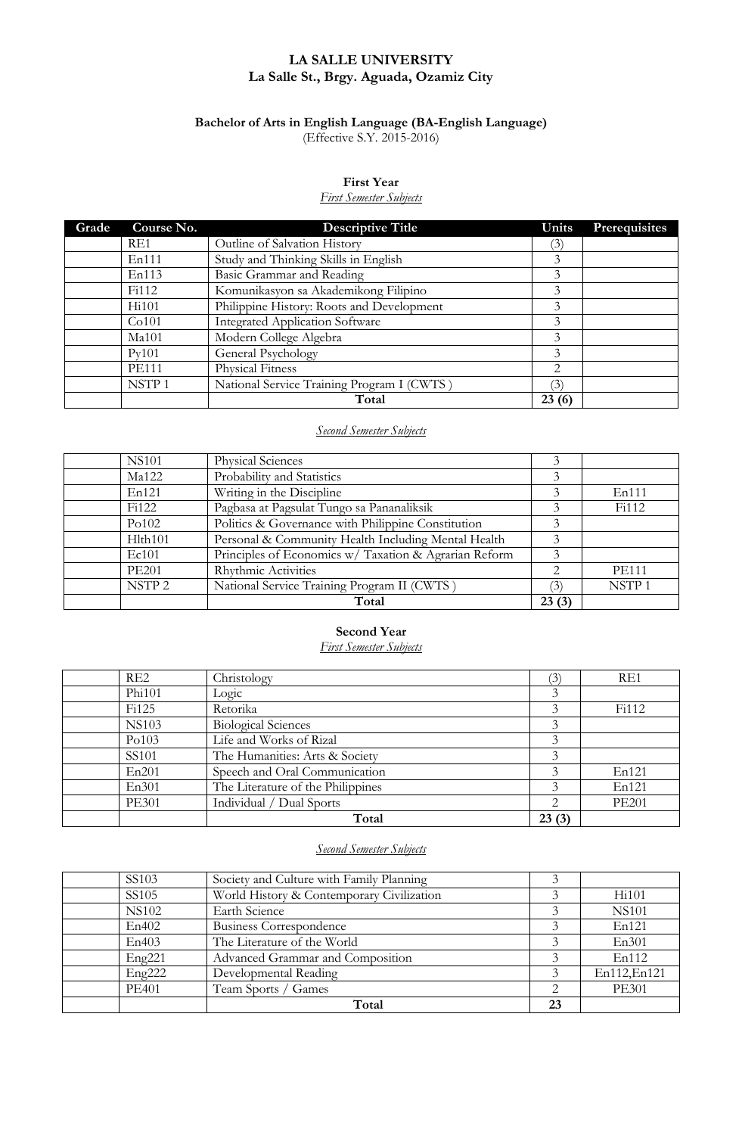## **LA SALLE UNIVERSITY La Salle St., Brgy. Aguada, Ozamiz City**

#### **Bachelor of Arts in English Language (BA-English Language)** (Effective S.Y. 2015-2016)

#### **First Year**

#### *First Semester Subjects*

| Grade | Course No.        | <b>Descriptive Title</b>                   | Units | <b>Prerequisites</b> |
|-------|-------------------|--------------------------------------------|-------|----------------------|
|       | RE <sub>1</sub>   | Outline of Salvation History               | (3)   |                      |
|       | En111             | Study and Thinking Skills in English       | 3     |                      |
|       | En113             | Basic Grammar and Reading                  | 3     |                      |
|       | Fi112             | Komunikasyon sa Akademikong Filipino       | 3     |                      |
|       | Hi101             | Philippine History: Roots and Development  | 3     |                      |
|       | Co101             | <b>Integrated Application Software</b>     | 3     |                      |
|       | Ma101             | Modern College Algebra                     | 3     |                      |
|       | Pv101             | General Psychology                         | 3     |                      |
|       | <b>PE111</b>      | Physical Fitness                           | 2     |                      |
|       | NSTP <sub>1</sub> | National Service Training Program I (CWTS) | (3)   |                      |
|       |                   | Total                                      | 23(6) |                      |

## *Second Semester Subjects*

| <b>NS101</b>      | Physical Sciences                                     |                               |                    |
|-------------------|-------------------------------------------------------|-------------------------------|--------------------|
| Ma122             | Probability and Statistics                            | 3                             |                    |
| En121             | Writing in the Discipline                             | 3                             | En111              |
| Fi122             | Pagbasa at Pagsulat Tungo sa Pananaliksik             | 3                             | F <sub>i</sub> 112 |
| Po102             | Politics & Governance with Philippine Constitution    | 3                             |                    |
| Hlth101           | Personal & Community Health Including Mental Health   | 3                             |                    |
| Ec101             | Principles of Economics w/ Taxation & Agrarian Reform | 3                             |                    |
| <b>PE201</b>      | Rhythmic Activities                                   | $\mathfrak{D}_{\mathfrak{p}}$ | <b>PE111</b>       |
| NSTP <sub>2</sub> | National Service Training Program II (CWTS)           | $\mathcal{E}$                 | NSTP <sub>1</sub>  |
|                   | Total                                                 | 23(3)                         |                    |

## **Second Year**

## *First Semester Subjects*

| RE2                | Christology                       | (3)                         | RE1          |
|--------------------|-----------------------------------|-----------------------------|--------------|
| Phi101             | Logic                             |                             |              |
| F <sub>i</sub> 125 | Retorika                          |                             | Fi112        |
| <b>NS103</b>       | <b>Biological Sciences</b>        |                             |              |
| Po103              | Life and Works of Rizal           |                             |              |
| SS101              | The Humanities: Arts & Society    | 3                           |              |
| En201              | Speech and Oral Communication     |                             | En121        |
| En301              | The Literature of the Philippines | 3                           | En121        |
| <b>PE301</b>       | Individual / Dual Sports          | $\mathcal{D}_{\mathcal{L}}$ | <b>PE201</b> |
|                    | Total                             | 23(3)                       |              |

#### *Second Semester Subjects*

| SS103        | Society and Culture with Family Planning  |    |              |
|--------------|-------------------------------------------|----|--------------|
| SS105        | World History & Contemporary Civilization |    | Hi101        |
| <b>NS102</b> | Earth Science                             |    | <b>NS101</b> |
| En402        | Business Correspondence                   |    | En121        |
| En403        | The Literature of the World               |    | En301        |
| Eng221       | Advanced Grammar and Composition          |    | En112        |
| Eng222       | Developmental Reading                     |    | En112, En121 |
| <b>PE401</b> | Team Sports / Games                       | っ  | <b>PE301</b> |
|              | Total                                     | 23 |              |